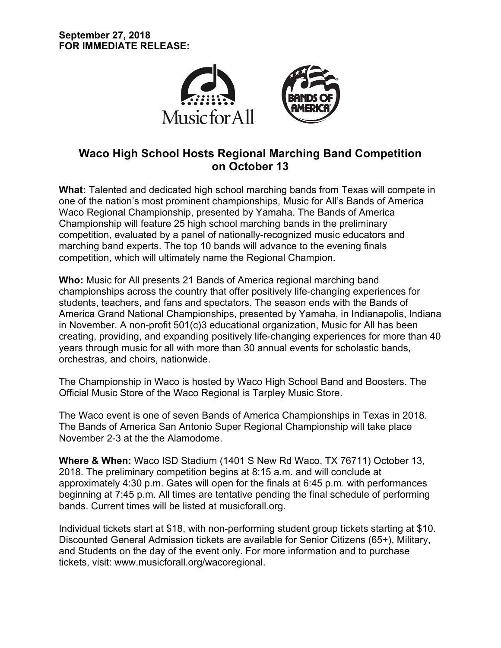

## **Waco High School Hosts Regional Marching Band Competition on October 13**

**What:** Talented and dedicated high school marching bands from Texas will compete in one of the nation's most prominent championships, Music for All's Bands of America Waco Regional Championship, presented by Yamaha. The Bands of America Championship will feature 25 high school marching bands in the preliminary competition, evaluated by a panel of nationally-recognized music educators and marching band experts. The top 10 bands will advance to the evening finals competition, which will ultimately name the Regional Champion.

**Who:** Music for All presents 21 Bands of America regional marching band championships across the country that offer positively life-changing experiences for students, teachers, and fans and spectators. The season ends with the Bands of America Grand National Championships, presented by Yamaha, in Indianapolis, Indiana in November. A non-profit 501(c)3 educational organization, Music for All has been creating, providing, and expanding positively life-changing experiences for more than 40 years through music for all with more than 30 annual events for scholastic bands, orchestras, and choirs, nationwide.

The Championship in Waco is hosted by Waco High School Band and Boosters. The Official Music Store of the Waco Regional is Tarpley Music Store.

The Waco event is one of seven Bands of America Championships in Texas in 2018. The Bands of America San Antonio Super Regional Championship will take place November 2-3 at the the Alamodome.

**Where & When:** Waco ISD Stadium (1401 S New Rd Waco, TX 76711) October 13, 2018. The preliminary competition begins at 8:15 a.m. and will conclude at approximately 4:30 p.m. Gates will open for the finals at 6:45 p.m. with performances beginning at 7:45 p.m. All times are tentative pending the final schedule of performing bands. Current times will be listed at musicforall.org.

Individual tickets start at \$18, with non-performing student group tickets starting at \$10. Discounted General Admission tickets are available for Senior Citizens (65+), Military, and Students on the day of the event only. For more information and to purchase tickets, visit: www.musicforall.org/wacoregional.